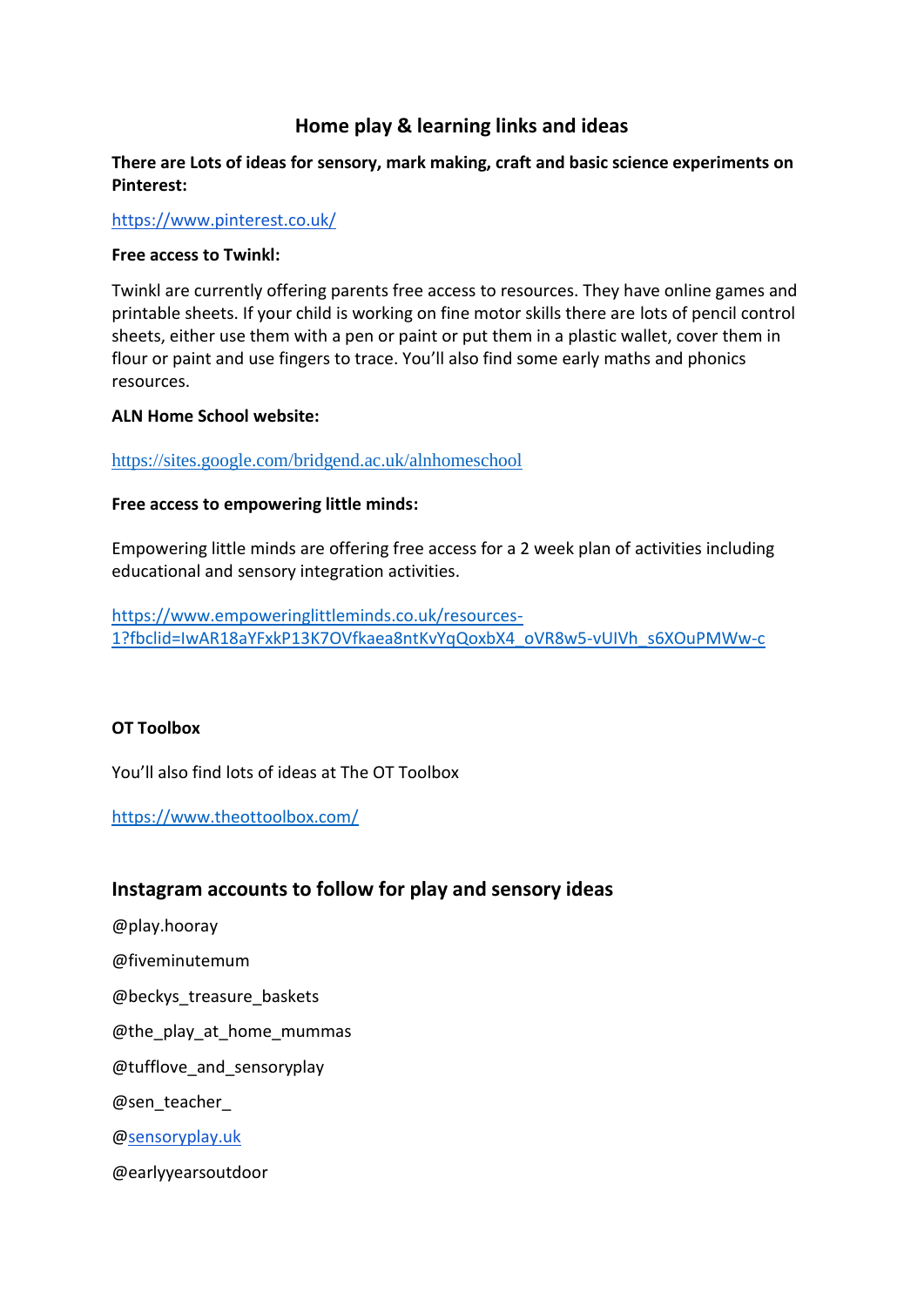# **Home play & learning links and ideas**

## **There are Lots of ideas for sensory, mark making, craft and basic science experiments on Pinterest:**

<https://www.pinterest.co.uk/>

#### **Free access to Twinkl:**

Twinkl are currently offering parents free access to resources. They have online games and printable sheets. If your child is working on fine motor skills there are lots of pencil control sheets, either use them with a pen or paint or put them in a plastic wallet, cover them in flour or paint and use fingers to trace. You'll also find some early maths and phonics resources.

#### **ALN Home School website:**

<https://sites.google.com/bridgend.ac.uk/alnhomeschool>

### **Free access to empowering little minds:**

Empowering little minds are offering free access for a 2 week plan of activities including educational and sensory integration activities.

[https://www.empoweringlittleminds.co.uk/resources-](https://www.empoweringlittleminds.co.uk/resources-1?fbclid=IwAR18aYFxkP13K7OVfkaea8ntKvYqQoxbX4_oVR8w5-vUIVh_s6XOuPMWw-c)[1?fbclid=IwAR18aYFxkP13K7OVfkaea8ntKvYqQoxbX4\\_oVR8w5-vUIVh\\_s6XOuPMWw-c](https://www.empoweringlittleminds.co.uk/resources-1?fbclid=IwAR18aYFxkP13K7OVfkaea8ntKvYqQoxbX4_oVR8w5-vUIVh_s6XOuPMWw-c)

### **OT Toolbox**

You'll also find lots of ideas at The OT Toolbox

<https://www.theottoolbox.com/>

# **Instagram accounts to follow for play and sensory ideas**

@play.hooray

@fiveminutemum

@beckys\_treasure\_baskets

@the\_play\_at\_home\_mummas

@tufflove\_and\_sensoryplay

@sen\_teacher\_

[@sensoryplay.uk](http://sensoryplay.uk/)

@earlyyearsoutdoor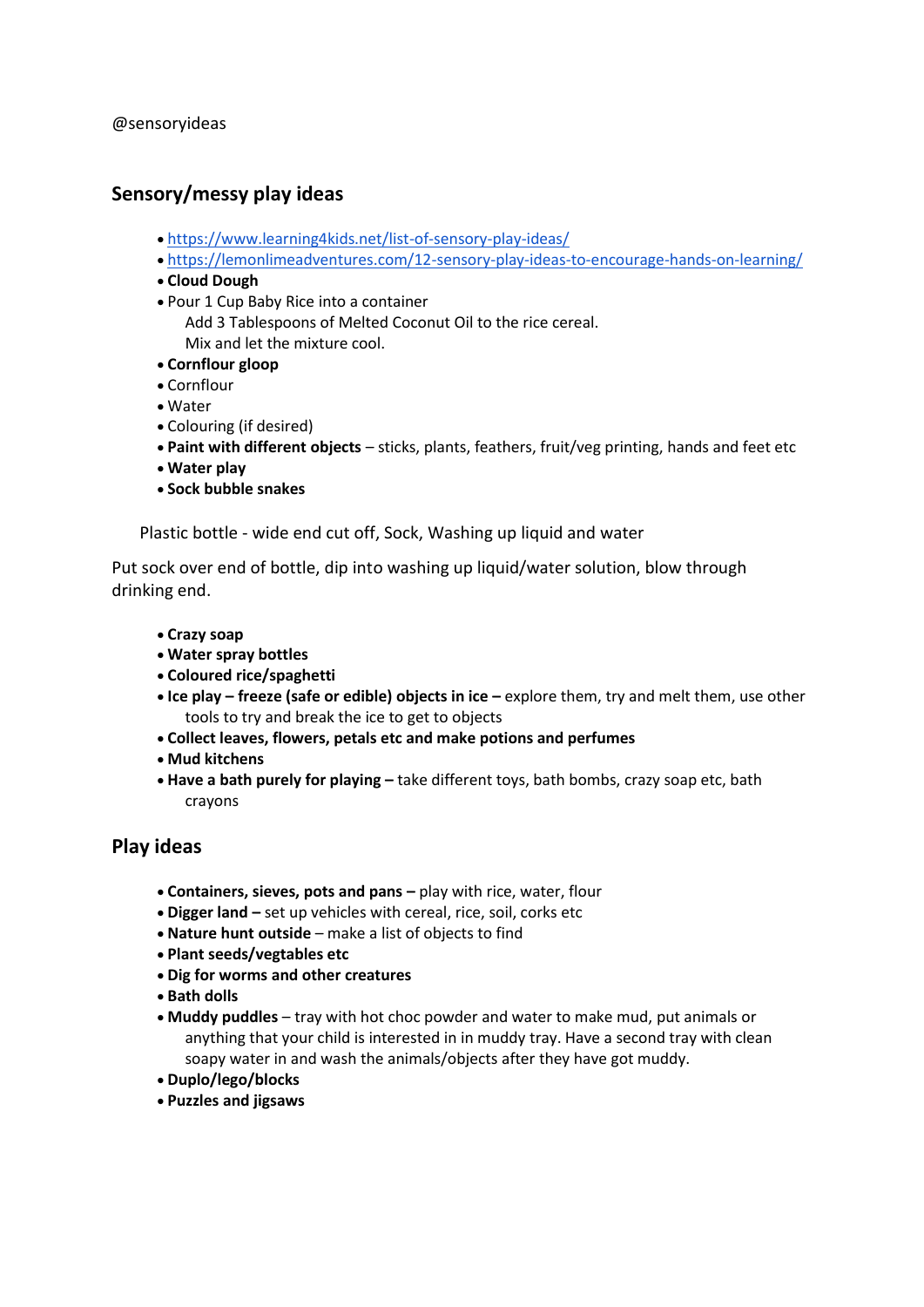@sensoryideas

# **Sensory/messy play ideas**

- <https://www.learning4kids.net/list-of-sensory-play-ideas/>
- <https://lemonlimeadventures.com/12-sensory-play-ideas-to-encourage-hands-on-learning/>
- **Cloud Dough**
- Pour 1 Cup Baby Rice into a container
	- Add 3 Tablespoons of Melted Coconut Oil to the rice cereal. Mix and let the mixture cool.
- **Cornflour gloop**
- Cornflour
- Water
- Colouring (if desired)
- **Paint with different objects** sticks, plants, feathers, fruit/veg printing, hands and feet etc
- **Water play**
- **Sock bubble snakes**

Plastic bottle - wide end cut off, Sock, Washing up liquid and water

Put sock over end of bottle, dip into washing up liquid/water solution, blow through drinking end.

- **Crazy soap**
- **Water spray bottles**
- **Coloured rice/spaghetti**
- **Ice play – freeze (safe or edible) objects in ice –** explore them, try and melt them, use other tools to try and break the ice to get to objects
- **Collect leaves, flowers, petals etc and make potions and perfumes**
- **Mud kitchens**
- **Have a bath purely for playing –** take different toys, bath bombs, crazy soap etc, bath crayons

# **Play ideas**

- **Containers, sieves, pots and pans –** play with rice, water, flour
- **Digger land –** set up vehicles with cereal, rice, soil, corks etc
- **Nature hunt outside** make a list of objects to find
- **Plant seeds/vegtables etc**
- **Dig for worms and other creatures**
- **Bath dolls**
- **Muddy puddles** tray with hot choc powder and water to make mud, put animals or anything that your child is interested in in muddy tray. Have a second tray with clean soapy water in and wash the animals/objects after they have got muddy.
- **Duplo/lego/blocks**
- **Puzzles and jigsaws**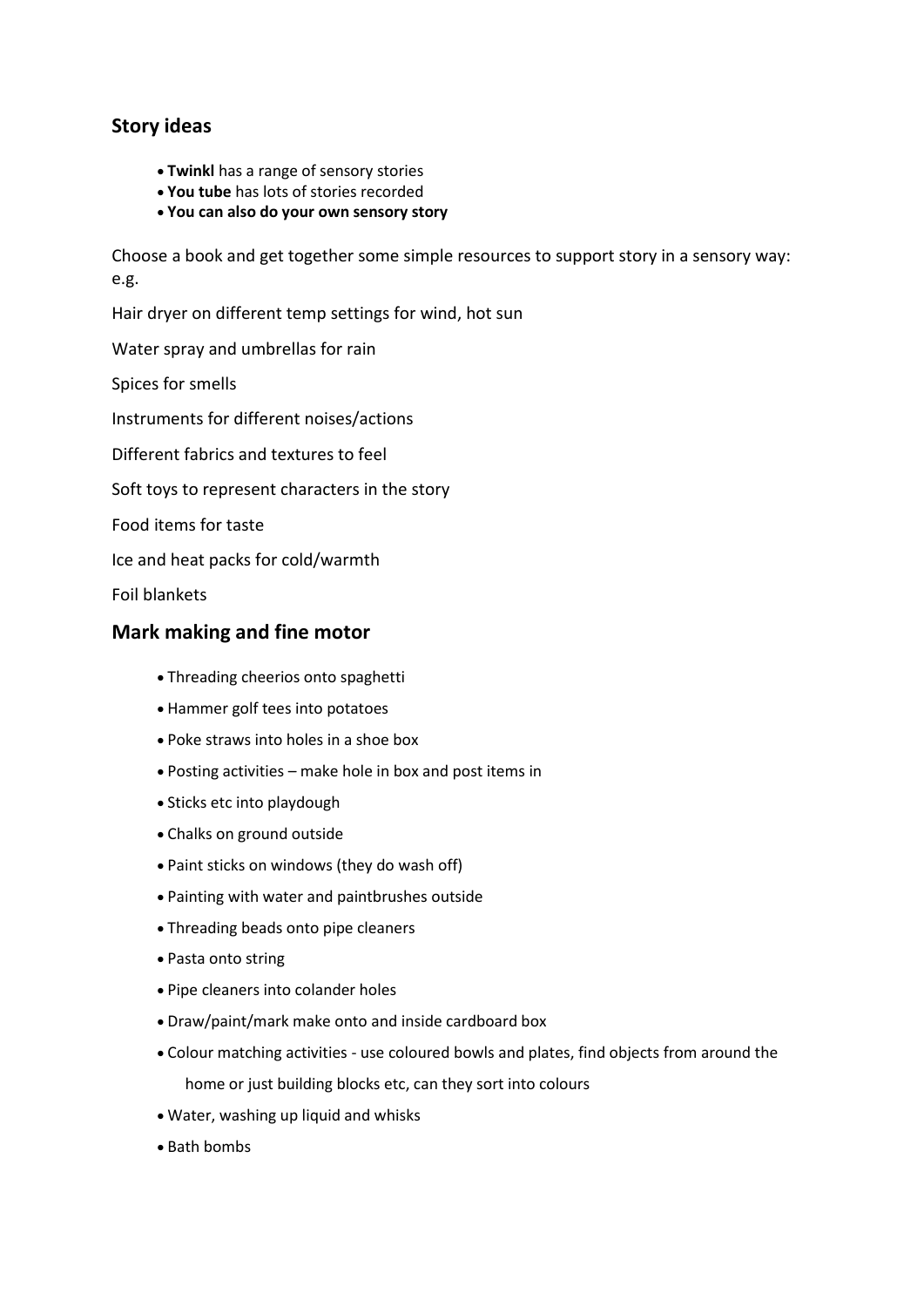# **Story ideas**

- **Twinkl** has a range of sensory stories
- **You tube** has lots of stories recorded
- **You can also do your own sensory story**

Choose a book and get together some simple resources to support story in a sensory way: e.g.

Hair dryer on different temp settings for wind, hot sun

Water spray and umbrellas for rain

Spices for smells

Instruments for different noises/actions

Different fabrics and textures to feel

Soft toys to represent characters in the story

Food items for taste

Ice and heat packs for cold/warmth

Foil blankets

# **Mark making and fine motor**

- Threading cheerios onto spaghetti
- Hammer golf tees into potatoes
- Poke straws into holes in a shoe box
- Posting activities make hole in box and post items in
- Sticks etc into playdough
- Chalks on ground outside
- Paint sticks on windows (they do wash off)
- Painting with water and paintbrushes outside
- Threading beads onto pipe cleaners
- Pasta onto string
- Pipe cleaners into colander holes
- Draw/paint/mark make onto and inside cardboard box
- Colour matching activities use coloured bowls and plates, find objects from around the home or just building blocks etc, can they sort into colours
- Water, washing up liquid and whisks
- Bath bombs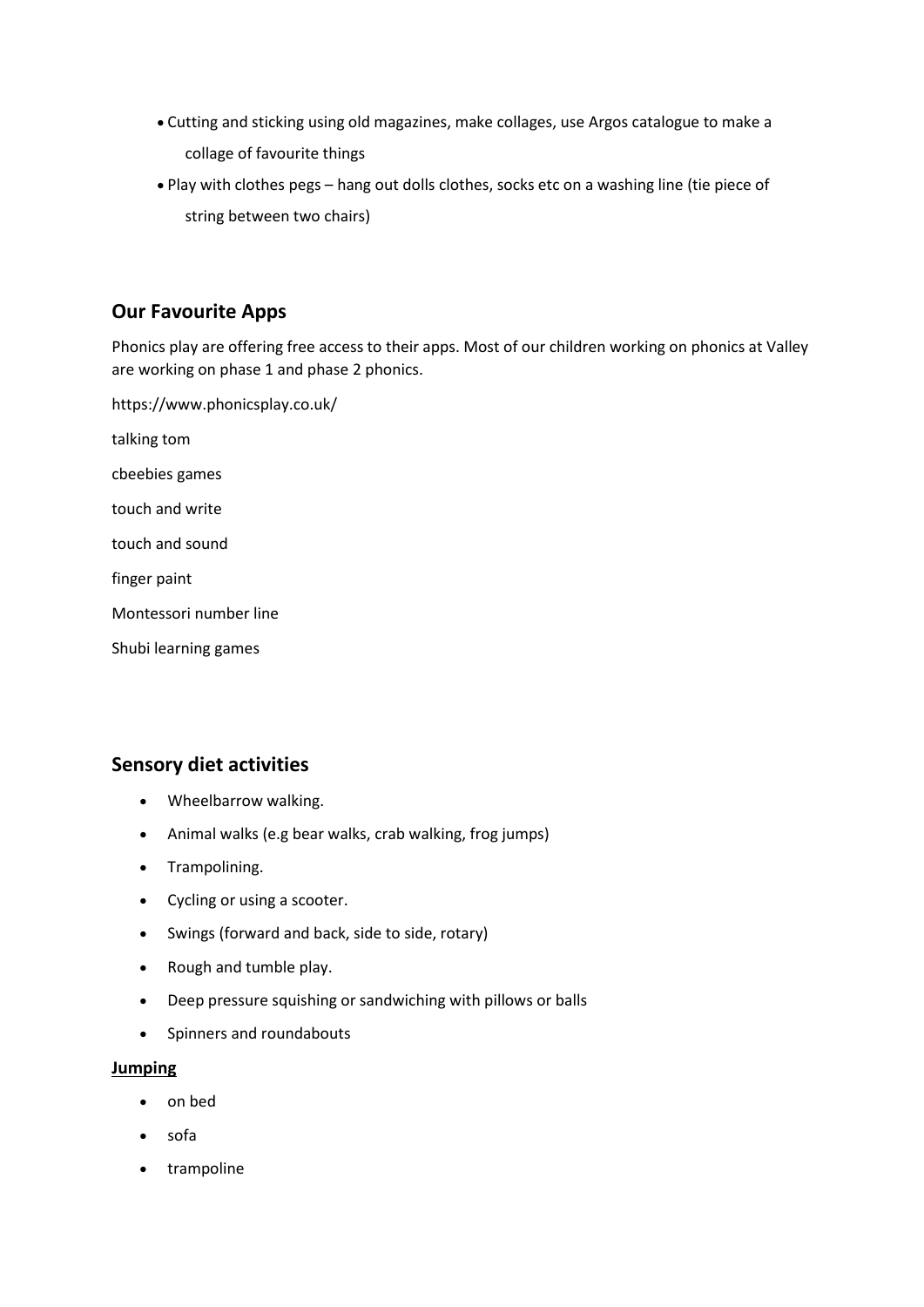- Cutting and sticking using old magazines, make collages, use Argos catalogue to make a collage of favourite things
- Play with clothes pegs hang out dolls clothes, socks etc on a washing line (tie piece of string between two chairs)

# **Our Favourite Apps**

Phonics play are offering free access to their apps. Most of our children working on phonics at Valley are working on phase 1 and phase 2 phonics.

<https://www.phonicsplay.co.uk/> talking tom cbeebies games touch and write touch and sound finger paint Montessori number line Shubi learning games

# **Sensory diet activities**

- Wheelbarrow walking.
- Animal walks (e.g bear walks, crab walking, frog jumps)
- Trampolining.
- Cycling or using a scooter.
- Swings (forward and back, side to side, rotary)
- Rough and tumble play.
- Deep pressure squishing or sandwiching with pillows or balls
- Spinners and roundabouts

#### **Jumping**

- on bed
- sofa
- trampoline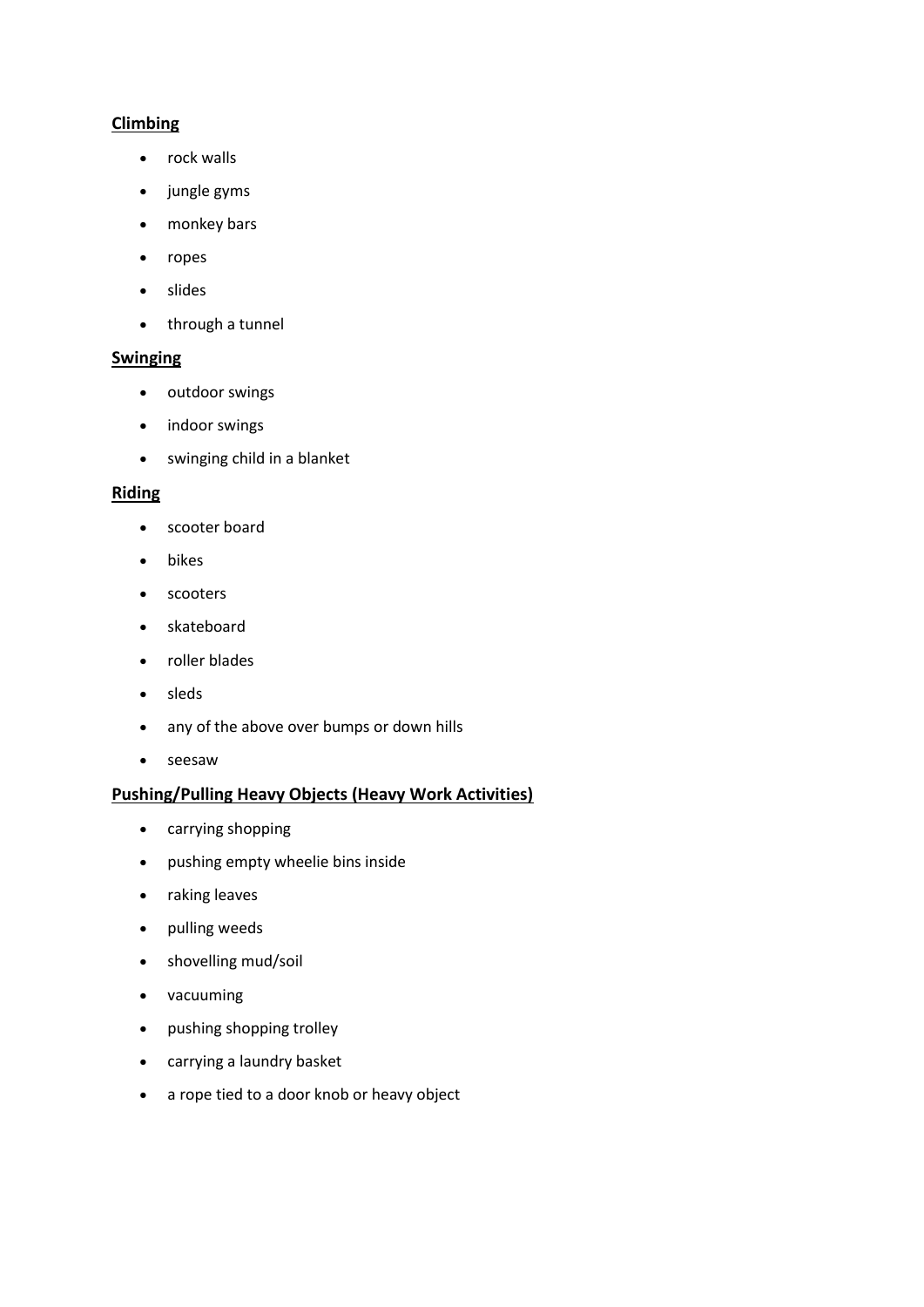## **Climbing**

- rock walls
- jungle gyms
- monkey bars
- ropes
- slides
- through a tunnel

#### **Swinging**

- **•** outdoor swings
- indoor swings
- swinging child in a blanket

#### **Riding**

- scooter board
- bikes
- scooters
- skateboard
- roller blades
- sleds
- any of the above over bumps or down hills
- seesaw

### **Pushing/Pulling Heavy Objects (Heavy Work Activities)**

- carrying shopping
- pushing empty wheelie bins inside
- raking leaves
- pulling weeds
- shovelling mud/soil
- vacuuming
- pushing shopping trolley
- carrying a laundry basket
- a rope tied to a door knob or heavy object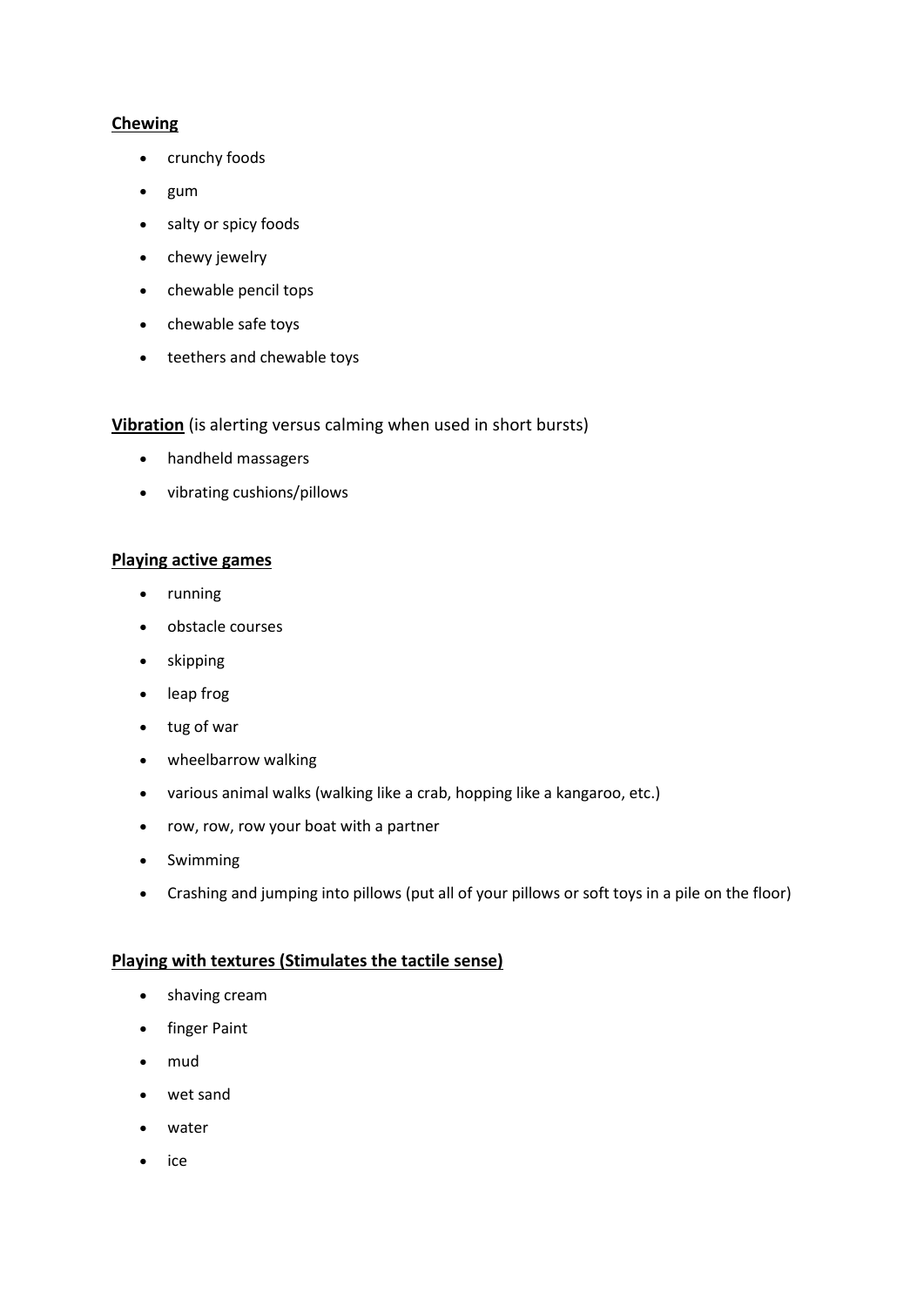## **Chewing**

- crunchy foods
- gum
- salty or spicy foods
- chewy jewelry
- chewable pencil tops
- chewable safe toys
- teethers and chewable toys

### **Vibration** (is alerting versus calming when used in short bursts)

- handheld massagers
- vibrating cushions/pillows

### **Playing active games**

- running
- obstacle courses
- skipping
- leap frog
- tug of war
- wheelbarrow walking
- various animal walks (walking like a crab, hopping like a kangaroo, etc.)
- row, row, row your boat with a partner
- Swimming
- Crashing and jumping into pillows (put all of your pillows or soft toys in a pile on the floor)

### **Playing with textures (Stimulates the tactile sense)**

- shaving cream
- finger Paint
- mud
- wet sand
- water
- $\bullet$  ice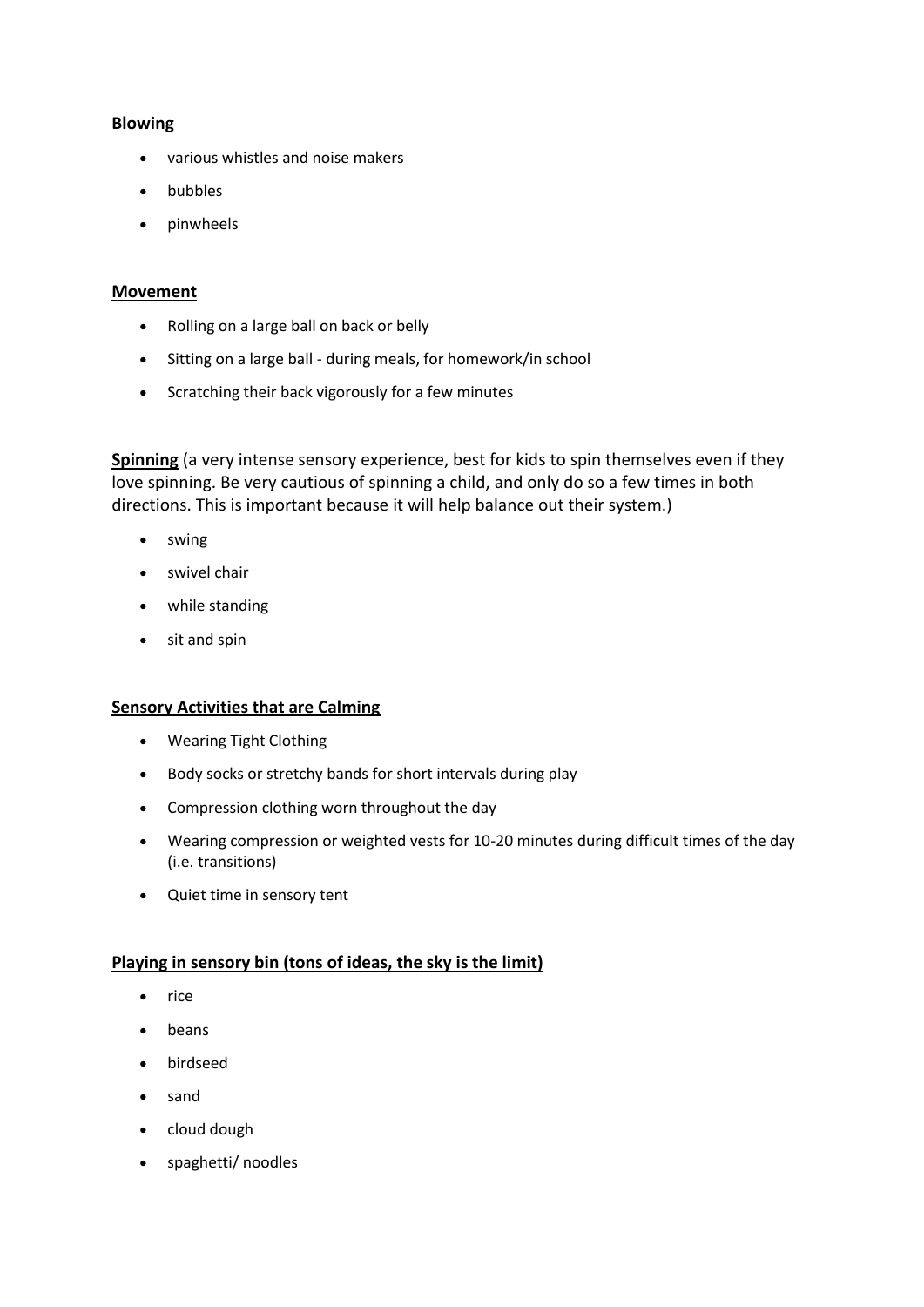### **Blowing**

- various whistles and noise makers
- bubbles
- pinwheels

#### **Movement**

- Rolling on a large ball on back or belly
- Sitting on a large ball during meals, for homework/in school
- Scratching their back vigorously for a few minutes

**Spinning** (a very intense sensory experience, best for kids to spin themselves even if they love spinning. Be very cautious of spinning a child, and only do so a few times in both directions. This is important because it will help balance out their system.)

- swing
- swivel chair
- while standing
- sit and spin

### **Sensory Activities that are Calming**

- Wearing Tight Clothing
- Body socks or stretchy bands for short intervals during play
- Compression clothing worn throughout the day
- Wearing compression or weighted vests for 10-20 minutes during difficult times of the day (i.e. transitions)
- Quiet time in sensory tent

### **Playing in sensory bin (tons of ideas, the sky is the limit)**

- $\bullet$  rice
- beans
- birdseed
- sand
- cloud dough
- spaghetti/ noodles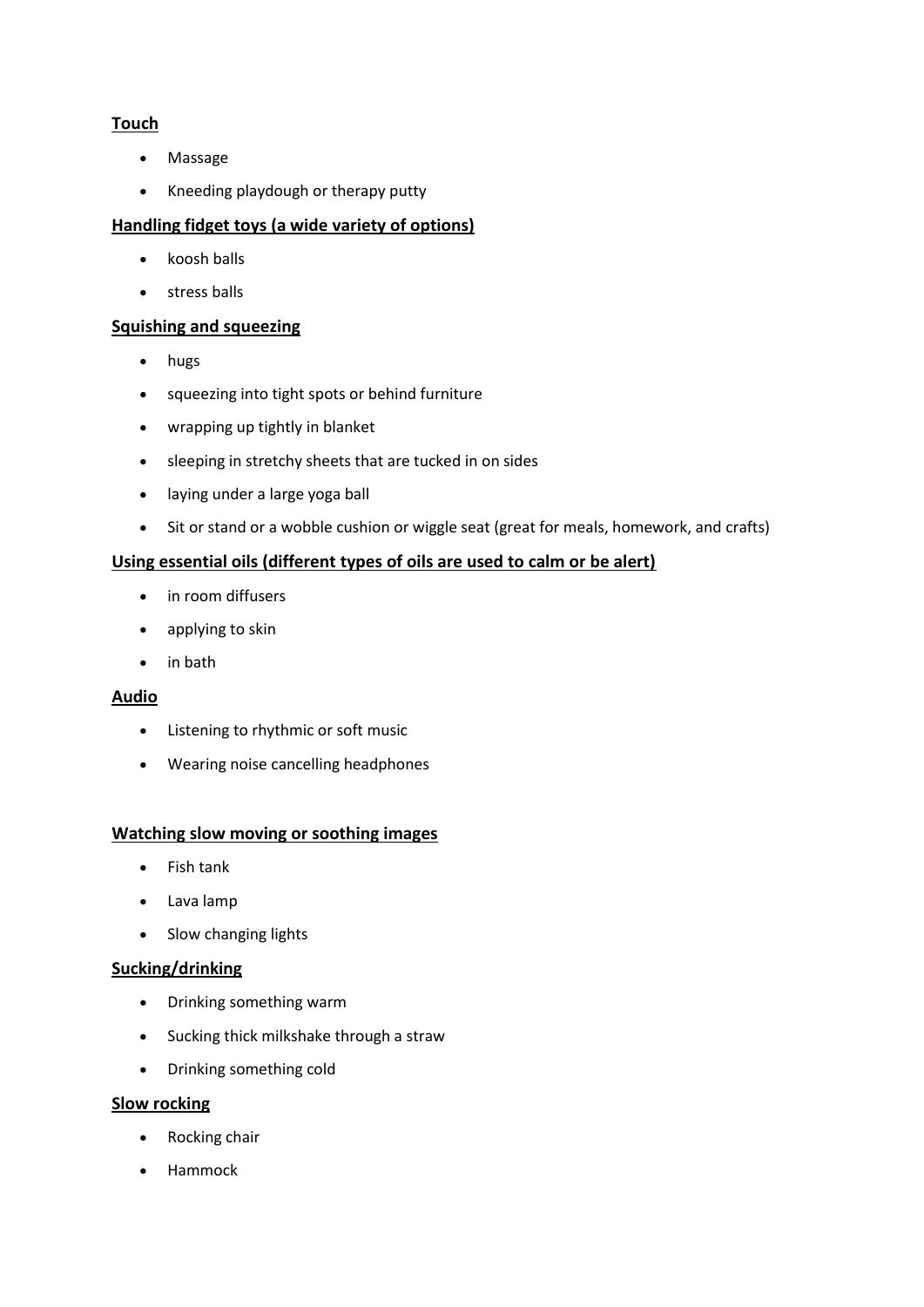# **Touch**

- Massage
- Kneeding playdough or therapy putty

# **Handling fidget toys (a wide variety of options)**

- $\bullet$  koosh balls
- stress balls

### **Squishing and squeezing**

- hugs
- squeezing into tight spots or behind furniture
- wrapping up tightly in blanket
- sleeping in stretchy sheets that are tucked in on sides
- laying under a large yoga ball
- Sit or stand or a wobble cushion or wiggle seat (great for meals, homework, and crafts)

## **Using essential oils (different types of oils are used to calm or be alert)**

- in room diffusers
- applying to skin
- in bath

## **Audio**

- Listening to rhythmic or soft music
- Wearing noise cancelling headphones

### **Watching slow moving or soothing images**

- Fish tank
- Lava lamp
- Slow changing lights

### **Sucking/drinking**

- Drinking something warm
- Sucking thick milkshake through a straw
- Drinking something cold

### **Slow rocking**

- Rocking chair
- Hammock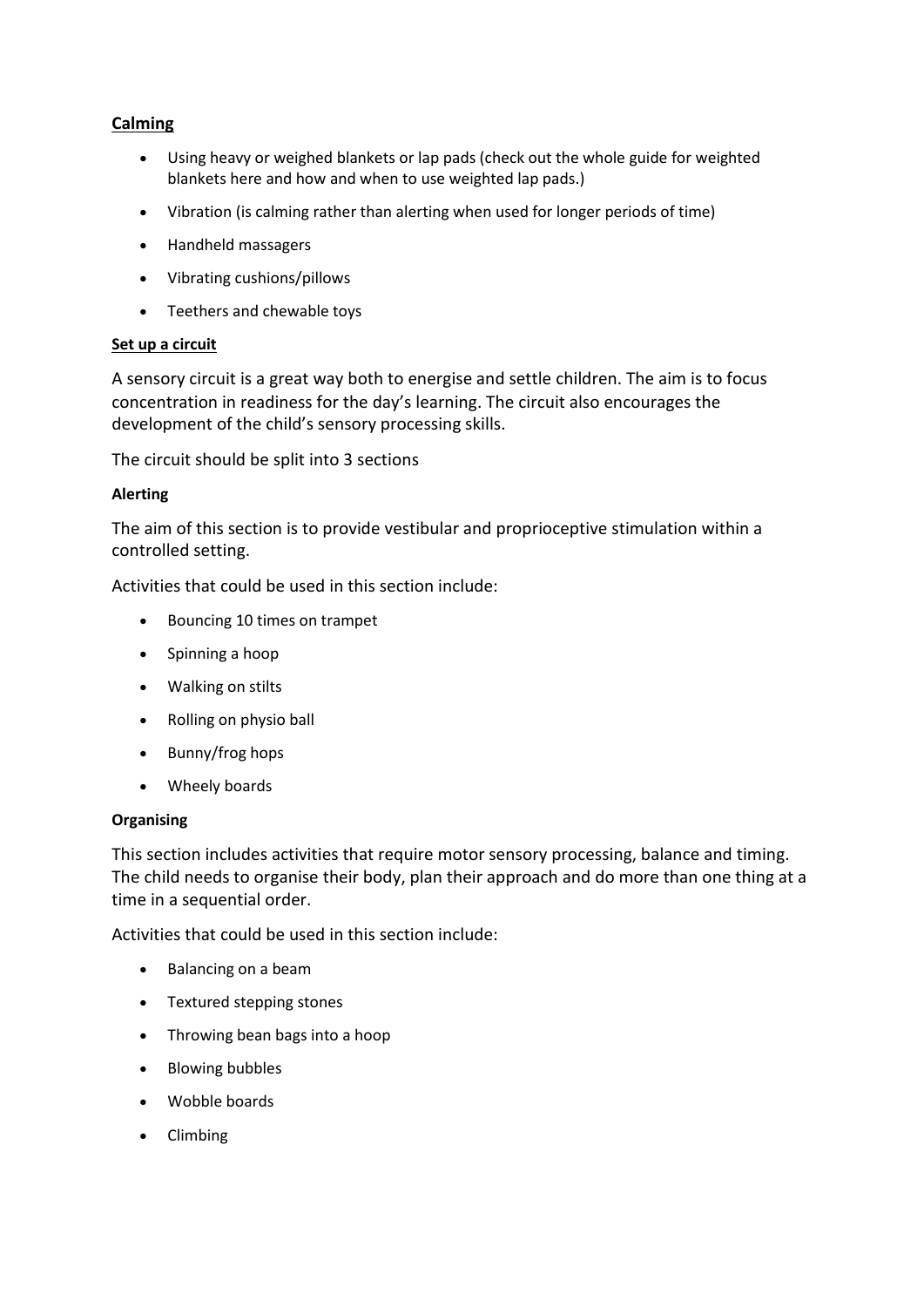## **Calming**

- Using heavy or weighed blankets or lap pads (check out the whole guide for weighted blankets here and how and when to use weighted lap pads.)
- Vibration (is calming rather than alerting when used for longer periods of time)
- Handheld massagers
- Vibrating cushions/pillows
- Teethers and chewable toys

#### **Set up a circuit**

A sensory circuit is a great way both to energise and settle children. The aim is to focus concentration in readiness for the day's learning. The circuit also encourages the development of the child's sensory processing skills.

The circuit should be split into 3 sections

#### **Alerting**

The aim of this section is to provide vestibular and proprioceptive stimulation within a controlled setting.

Activities that could be used in this section include:

- Bouncing 10 times on trampet
- Spinning a hoop
- Walking on stilts
- Rolling on physio ball
- Bunny/frog hops
- Wheely boards

#### **Organising**

This section includes activities that require motor sensory processing, balance and timing. The child needs to organise their body, plan their approach and do more than one thing at a time in a sequential order.

Activities that could be used in this section include:

- Balancing on a beam
- Textured stepping stones
- Throwing bean bags into a hoop
- Blowing bubbles
- Wobble boards
- Climbing